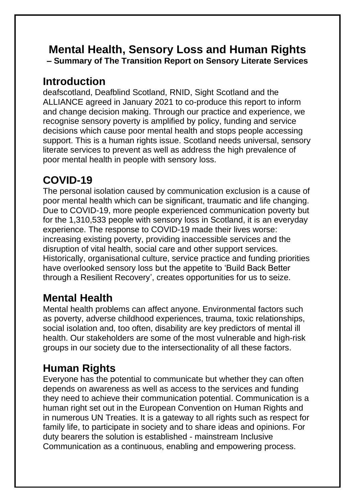#### **Mental Health, Sensory Loss and Human Rights – Summary of The Transition Report on Sensory Literate Services**

#### **Introduction**

deafscotland, Deafblind Scotland, RNID, Sight Scotland and the ALLIANCE agreed in January 2021 to co-produce this report to inform and change decision making. Through our practice and experience, we recognise sensory poverty is amplified by policy, funding and service decisions which cause poor mental health and stops people accessing support. This is a human rights issue. Scotland needs universal, sensory literate services to prevent as well as address the high prevalence of poor mental health in people with sensory loss.

# **COVID-19**

The personal isolation caused by communication exclusion is a cause of poor mental health which can be significant, traumatic and life changing. Due to COVID-19, more people experienced communication poverty but for the 1,310,533 people with sensory loss in Scotland, it is an everyday experience. The response to COVID-19 made their lives worse: increasing existing poverty, providing inaccessible services and the disruption of vital health, social care and other support services. Historically, organisational culture, service practice and funding priorities have overlooked sensory loss but the appetite to 'Build Back Better through a Resilient Recovery', creates opportunities for us to seize.

## **Mental Health**

Mental health problems can affect anyone. Environmental factors such as poverty, adverse childhood experiences, trauma, toxic relationships, social isolation and, too often, disability are key predictors of mental ill health. Our stakeholders are some of the most vulnerable and high-risk groups in our society due to the intersectionality of all these factors.

## **Human Rights**

Everyone has the potential to communicate but whether they can often depends on awareness as well as access to the services and funding they need to achieve their communication potential. Communication is a human right set out in the European Convention on Human Rights and in numerous UN Treaties. It is a gateway to all rights such as respect for family life, to participate in society and to share ideas and opinions. For duty bearers the solution is established - mainstream Inclusive Communication as a continuous, enabling and empowering process.